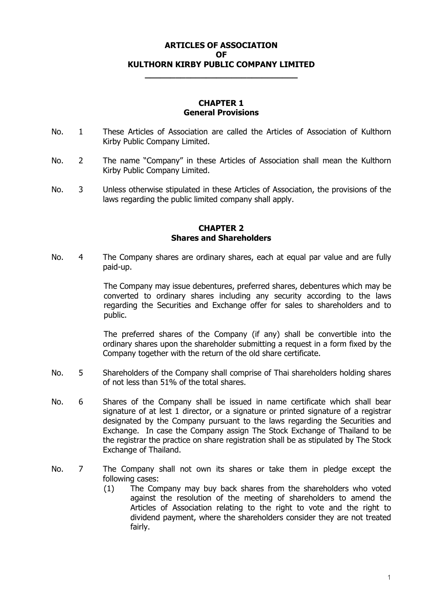# **ARTICLES OF ASSOCIATION OF KULTHORN KIRBY PUBLIC COMPANY LIMITED**

**\_\_\_\_\_\_\_\_\_\_\_\_\_\_\_\_\_\_\_\_\_\_\_\_\_\_\_\_\_\_** 

### **CHAPTER 1 General Provisions**

- No. 1 These Articles of Association are called the Articles of Association of Kulthorn Kirby Public Company Limited.
- No. 2 The name "Company" in these Articles of Association shall mean the Kulthorn Kirby Public Company Limited.
- No. 3 Unless otherwise stipulated in these Articles of Association, the provisions of the laws regarding the public limited company shall apply.

## **CHAPTER 2 Shares and Shareholders**

No. 4 The Company shares are ordinary shares, each at equal par value and are fully paid-up.

> The Company may issue debentures, preferred shares, debentures which may be converted to ordinary shares including any security according to the laws regarding the Securities and Exchange offer for sales to shareholders and to public.

> The preferred shares of the Company (if any) shall be convertible into the ordinary shares upon the shareholder submitting a request in a form fixed by the Company together with the return of the old share certificate.

- No. 5 Shareholders of the Company shall comprise of Thai shareholders holding shares of not less than 51% of the total shares.
- No. 6 Shares of the Company shall be issued in name certificate which shall bear signature of at lest 1 director, or a signature or printed signature of a registrar designated by the Company pursuant to the laws regarding the Securities and Exchange. In case the Company assign The Stock Exchange of Thailand to be the registrar the practice on share registration shall be as stipulated by The Stock Exchange of Thailand.
- No. 7 The Company shall not own its shares or take them in pledge except the following cases:
	- (1) The Company may buy back shares from the shareholders who voted against the resolution of the meeting of shareholders to amend the Articles of Association relating to the right to vote and the right to dividend payment, where the shareholders consider they are not treated fairly.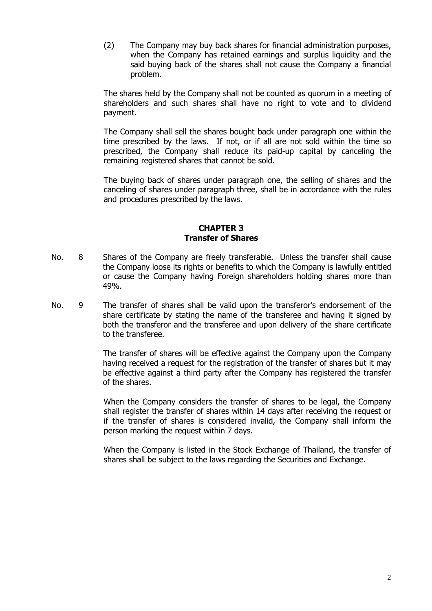(2) The Company may buy back shares for financial administration purposes, when the Company has retained earnings and surplus liquidity and the said buying back of the shares shall not cause the Company a financial problem.

The shares held by the Company shall not be counted as quorum in a meeting of shareholders and such shares shall have no right to vote and to dividend payment.

The Company shall sell the shares bought back under paragraph one within the time prescribed by the laws. If not, or if all are not sold within the time so prescribed, the Company shall reduce its paid-up capital by canceling the remaining registered shares that cannot be sold.

The buying back of shares under paragraph one, the selling of shares and the canceling of shares under paragraph three, shall be in accordance with the rules and procedures prescribed by the laws.

## **CHAPTER 3 Transfer of Shares**

- No. 8 Shares of the Company are freely transferable. Unless the transfer shall cause the Company loose its rights or benefits to which the Company is lawfully entitled or cause the Company having Foreign shareholders holding shares more than 49%.
- No. 9 The transfer of shares shall be valid upon the transferor's endorsement of the share certificate by stating the name of the transferee and having it signed by both the transferor and the transferee and upon delivery of the share certificate to the transferee.

The transfer of shares will be effective against the Company upon the Company having received a request for the registration of the transfer of shares but it may be effective against a third party after the Company has registered the transfer of the shares.

When the Company considers the transfer of shares to be legal, the Company shall register the transfer of shares within 14 days after receiving the request or if the transfer of shares is considered invalid, the Company shall inform the person marking the request within 7 days.

When the Company is listed in the Stock Exchange of Thailand, the transfer of shares shall be subject to the laws regarding the Securities and Exchange.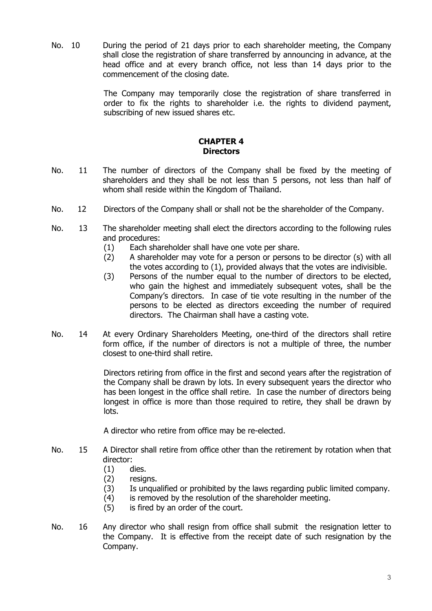No. 10 During the period of 21 days prior to each shareholder meeting, the Company shall close the registration of share transferred by announcing in advance, at the head office and at every branch office, not less than 14 days prior to the commencement of the closing date.

> The Company may temporarily close the registration of share transferred in order to fix the rights to shareholder i.e. the rights to dividend payment, subscribing of new issued shares etc.

## **CHAPTER 4 Directors**

- No. 11 The number of directors of the Company shall be fixed by the meeting of shareholders and they shall be not less than 5 persons, not less than half of whom shall reside within the Kingdom of Thailand.
- No. 12 Directors of the Company shall or shall not be the shareholder of the Company.
- No. 13 The shareholder meeting shall elect the directors according to the following rules and procedures:
	- (1) Each shareholder shall have one vote per share.
	- (2) A shareholder may vote for a person or persons to be director (s) with all the votes according to (1), provided always that the votes are indivisible.
	- (3) Persons of the number equal to the number of directors to be elected, who gain the highest and immediately subsequent votes, shall be the Company's directors. In case of tie vote resulting in the number of the persons to be elected as directors exceeding the number of required directors. The Chairman shall have a casting vote.
- No. 14 At every Ordinary Shareholders Meeting, one-third of the directors shall retire form office, if the number of directors is not a multiple of three, the number closest to one-third shall retire.

Directors retiring from office in the first and second years after the registration of the Company shall be drawn by lots. In every subsequent years the director who has been longest in the office shall retire. In case the number of directors being longest in office is more than those required to retire, they shall be drawn by lots.

A director who retire from office may be re-elected.

- No. 15 A Director shall retire from office other than the retirement by rotation when that director:
	- (1) dies.
		- (2) resigns.
		- (3) Is unqualified or prohibited by the laws regarding public limited company.
	- (4) is removed by the resolution of the shareholder meeting.
	- (5) is fired by an order of the court.
- No. 16 Any director who shall resign from office shall submit the resignation letter to the Company. It is effective from the receipt date of such resignation by the Company.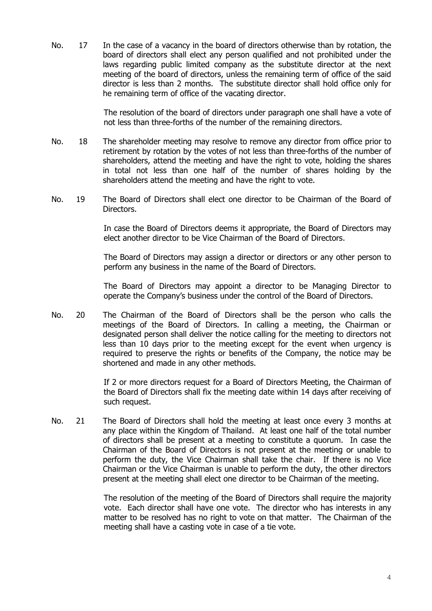No. 17 In the case of a vacancy in the board of directors otherwise than by rotation, the board of directors shall elect any person qualified and not prohibited under the laws regarding public limited company as the substitute director at the next meeting of the board of directors, unless the remaining term of office of the said director is less than 2 months. The substitute director shall hold office only for he remaining term of office of the vacating director.

> The resolution of the board of directors under paragraph one shall have a vote of not less than three-forths of the number of the remaining directors.

- No. 18 The shareholder meeting may resolve to remove any director from office prior to retirement by rotation by the votes of not less than three-forths of the number of shareholders, attend the meeting and have the right to vote, holding the shares in total not less than one half of the number of shares holding by the shareholders attend the meeting and have the right to vote.
- No. 19 The Board of Directors shall elect one director to be Chairman of the Board of Directors.

In case the Board of Directors deems it appropriate, the Board of Directors may elect another director to be Vice Chairman of the Board of Directors.

The Board of Directors may assign a director or directors or any other person to perform any business in the name of the Board of Directors.

The Board of Directors may appoint a director to be Managing Director to operate the Company's business under the control of the Board of Directors.

No. 20 The Chairman of the Board of Directors shall be the person who calls the meetings of the Board of Directors. In calling a meeting, the Chairman or designated person shall deliver the notice calling for the meeting to directors not less than 10 days prior to the meeting except for the event when urgency is required to preserve the rights or benefits of the Company, the notice may be shortened and made in any other methods.

> If 2 or more directors request for a Board of Directors Meeting, the Chairman of the Board of Directors shall fix the meeting date within 14 days after receiving of such request.

No. 21 The Board of Directors shall hold the meeting at least once every 3 months at any place within the Kingdom of Thailand. At least one half of the total number of directors shall be present at a meeting to constitute a quorum. In case the Chairman of the Board of Directors is not present at the meeting or unable to perform the duty, the Vice Chairman shall take the chair. If there is no Vice Chairman or the Vice Chairman is unable to perform the duty, the other directors present at the meeting shall elect one director to be Chairman of the meeting.

> The resolution of the meeting of the Board of Directors shall require the majority vote. Each director shall have one vote. The director who has interests in any matter to be resolved has no right to vote on that matter. The Chairman of the meeting shall have a casting vote in case of a tie vote.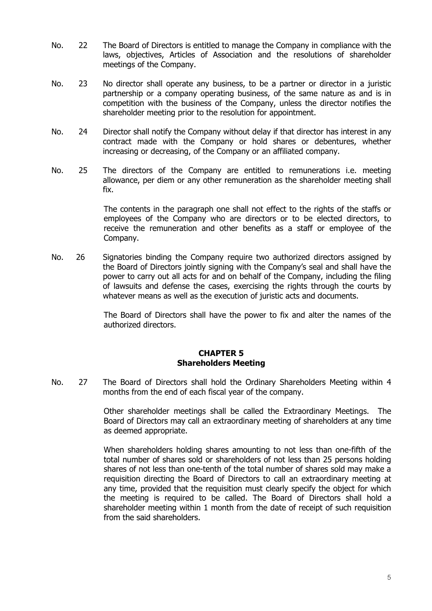- No. 22 The Board of Directors is entitled to manage the Company in compliance with the laws, objectives, Articles of Association and the resolutions of shareholder meetings of the Company.
- No. 23 No director shall operate any business, to be a partner or director in a juristic partnership or a company operating business, of the same nature as and is in competition with the business of the Company, unless the director notifies the shareholder meeting prior to the resolution for appointment.
- No. 24 Director shall notify the Company without delay if that director has interest in any contract made with the Company or hold shares or debentures, whether increasing or decreasing, of the Company or an affiliated company.
- No. 25 The directors of the Company are entitled to remunerations i.e. meeting allowance, per diem or any other remuneration as the shareholder meeting shall fix.

The contents in the paragraph one shall not effect to the rights of the staffs or employees of the Company who are directors or to be elected directors, to receive the remuneration and other benefits as a staff or employee of the Company.

No. 26 Signatories binding the Company require two authorized directors assigned by the Board of Directors jointly signing with the Company's seal and shall have the power to carry out all acts for and on behalf of the Company, including the filing of lawsuits and defense the cases, exercising the rights through the courts by whatever means as well as the execution of juristic acts and documents.

> The Board of Directors shall have the power to fix and alter the names of the authorized directors.

### **CHAPTER 5 Shareholders Meeting**

No. 27 The Board of Directors shall hold the Ordinary Shareholders Meeting within 4 months from the end of each fiscal year of the company.

> Other shareholder meetings shall be called the Extraordinary Meetings. The Board of Directors may call an extraordinary meeting of shareholders at any time as deemed appropriate.

> When shareholders holding shares amounting to not less than one-fifth of the total number of shares sold or shareholders of not less than 25 persons holding shares of not less than one-tenth of the total number of shares sold may make a requisition directing the Board of Directors to call an extraordinary meeting at any time, provided that the requisition must clearly specify the object for which the meeting is required to be called. The Board of Directors shall hold a shareholder meeting within 1 month from the date of receipt of such requisition from the said shareholders.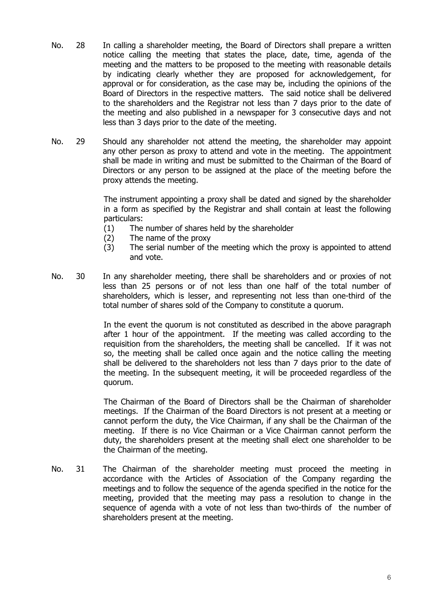- No. 28 In calling a shareholder meeting, the Board of Directors shall prepare a written notice calling the meeting that states the place, date, time, agenda of the meeting and the matters to be proposed to the meeting with reasonable details by indicating clearly whether they are proposed for acknowledgement, for approval or for consideration, as the case may be, including the opinions of the Board of Directors in the respective matters. The said notice shall be delivered to the shareholders and the Registrar not less than 7 days prior to the date of the meeting and also published in a newspaper for 3 consecutive days and not less than 3 days prior to the date of the meeting.
- No. 29 Should any shareholder not attend the meeting, the shareholder may appoint any other person as proxy to attend and vote in the meeting. The appointment shall be made in writing and must be submitted to the Chairman of the Board of Directors or any person to be assigned at the place of the meeting before the proxy attends the meeting.

The instrument appointing a proxy shall be dated and signed by the shareholder in a form as specified by the Registrar and shall contain at least the following particulars:

- (1) The number of shares held by the shareholder
- (2) The name of the proxy
- (3) The serial number of the meeting which the proxy is appointed to attend and vote.
- No. 30 In any shareholder meeting, there shall be shareholders and or proxies of not less than 25 persons or of not less than one half of the total number of shareholders, which is lesser, and representing not less than one-third of the total number of shares sold of the Company to constitute a quorum.

In the event the quorum is not constituted as described in the above paragraph after 1 hour of the appointment. If the meeting was called according to the requisition from the shareholders, the meeting shall be cancelled. If it was not so, the meeting shall be called once again and the notice calling the meeting shall be delivered to the shareholders not less than 7 days prior to the date of the meeting. In the subsequent meeting, it will be proceeded regardless of the quorum.

The Chairman of the Board of Directors shall be the Chairman of shareholder meetings. If the Chairman of the Board Directors is not present at a meeting or cannot perform the duty, the Vice Chairman, if any shall be the Chairman of the meeting. If there is no Vice Chairman or a Vice Chairman cannot perform the duty, the shareholders present at the meeting shall elect one shareholder to be the Chairman of the meeting.

No. 31 The Chairman of the shareholder meeting must proceed the meeting in accordance with the Articles of Association of the Company regarding the meetings and to follow the sequence of the agenda specified in the notice for the meeting, provided that the meeting may pass a resolution to change in the sequence of agenda with a vote of not less than two-thirds of the number of shareholders present at the meeting.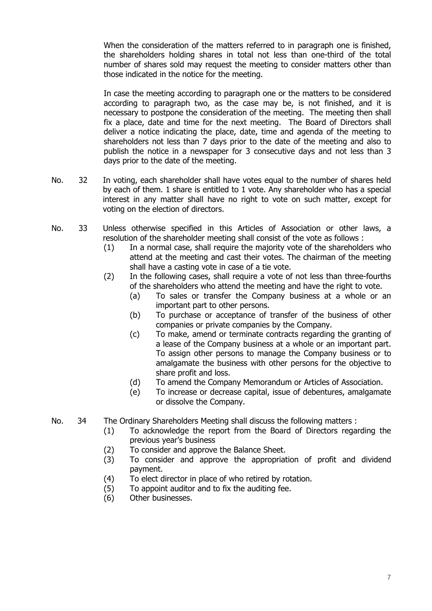When the consideration of the matters referred to in paragraph one is finished, the shareholders holding shares in total not less than one-third of the total number of shares sold may request the meeting to consider matters other than those indicated in the notice for the meeting.

In case the meeting according to paragraph one or the matters to be considered according to paragraph two, as the case may be, is not finished, and it is necessary to postpone the consideration of the meeting. The meeting then shall fix a place, date and time for the next meeting. The Board of Directors shall deliver a notice indicating the place, date, time and agenda of the meeting to shareholders not less than 7 days prior to the date of the meeting and also to publish the notice in a newspaper for 3 consecutive days and not less than 3 days prior to the date of the meeting.

- No. 32 In voting, each shareholder shall have votes equal to the number of shares held by each of them. 1 share is entitled to 1 vote. Any shareholder who has a special interest in any matter shall have no right to vote on such matter, except for voting on the election of directors.
- No. 33 Unless otherwise specified in this Articles of Association or other laws, a resolution of the shareholder meeting shall consist of the vote as follows :
	- (1) In a normal case, shall require the majority vote of the shareholders who attend at the meeting and cast their votes. The chairman of the meeting shall have a casting vote in case of a tie vote.
	- (2) In the following cases, shall require a vote of not less than three-fourths of the shareholders who attend the meeting and have the right to vote.
		- (a) To sales or transfer the Company business at a whole or an important part to other persons.
		- (b) To purchase or acceptance of transfer of the business of other companies or private companies by the Company.
		- (c) To make, amend or terminate contracts regarding the granting of a lease of the Company business at a whole or an important part. To assign other persons to manage the Company business or to amalgamate the business with other persons for the objective to share profit and loss.
		- (d) To amend the Company Memorandum or Articles of Association.
		- (e) To increase or decrease capital, issue of debentures, amalgamate or dissolve the Company.
- No. 34 The Ordinary Shareholders Meeting shall discuss the following matters :
	- (1) To acknowledge the report from the Board of Directors regarding the previous year's business
	- (2) To consider and approve the Balance Sheet.
	- (3) To consider and approve the appropriation of profit and dividend payment.
	- (4) To elect director in place of who retired by rotation.
	- (5) To appoint auditor and to fix the auditing fee.
	- (6) Other businesses.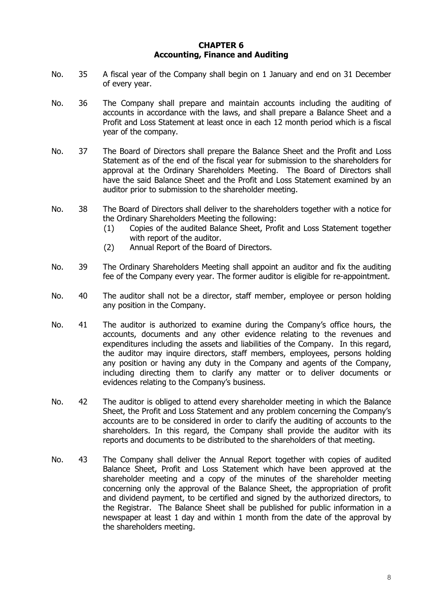### **CHAPTER 6 Accounting, Finance and Auditing**

- No. 35 A fiscal year of the Company shall begin on 1 January and end on 31 December of every year.
- No. 36 The Company shall prepare and maintain accounts including the auditing of accounts in accordance with the laws, and shall prepare a Balance Sheet and a Profit and Loss Statement at least once in each 12 month period which is a fiscal year of the company.
- No. 37 The Board of Directors shall prepare the Balance Sheet and the Profit and Loss Statement as of the end of the fiscal year for submission to the shareholders for approval at the Ordinary Shareholders Meeting. The Board of Directors shall have the said Balance Sheet and the Profit and Loss Statement examined by an auditor prior to submission to the shareholder meeting.
- No. 38 The Board of Directors shall deliver to the shareholders together with a notice for the Ordinary Shareholders Meeting the following:
	- (1) Copies of the audited Balance Sheet, Profit and Loss Statement together with report of the auditor.
	- (2) Annual Report of the Board of Directors.
- No. 39 The Ordinary Shareholders Meeting shall appoint an auditor and fix the auditing fee of the Company every year. The former auditor is eligible for re-appointment.
- No. 40 The auditor shall not be a director, staff member, employee or person holding any position in the Company.
- No. 41 The auditor is authorized to examine during the Company's office hours, the accounts, documents and any other evidence relating to the revenues and expenditures including the assets and liabilities of the Company. In this regard, the auditor may inquire directors, staff members, employees, persons holding any position or having any duty in the Company and agents of the Company, including directing them to clarify any matter or to deliver documents or evidences relating to the Company's business.
- No. 42 The auditor is obliged to attend every shareholder meeting in which the Balance Sheet, the Profit and Loss Statement and any problem concerning the Company's accounts are to be considered in order to clarify the auditing of accounts to the shareholders. In this regard, the Company shall provide the auditor with its reports and documents to be distributed to the shareholders of that meeting.
- No. 43 The Company shall deliver the Annual Report together with copies of audited Balance Sheet, Profit and Loss Statement which have been approved at the shareholder meeting and a copy of the minutes of the shareholder meeting concerning only the approval of the Balance Sheet, the appropriation of profit and dividend payment, to be certified and signed by the authorized directors, to the Registrar. The Balance Sheet shall be published for public information in a newspaper at least 1 day and within 1 month from the date of the approval by the shareholders meeting.